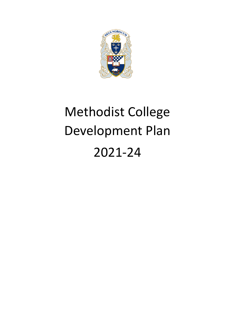

# Methodist College Development Plan 2021-24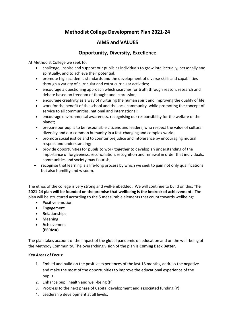## **Methodist College Development Plan 2021-24**

## **AIMS and VALUES**

## **Opportunity, Diversity, Excellence**

At Methodist College we seek to:

- challenge, inspire and support our pupils as individuals to grow intellectually, personally and spiritually, and to achieve their potential;
- promote high academic standards and the development of diverse skills and capabilities through a variety of curricular and extra-curricular activities;
- encourage a questioning approach which searches for truth through reason, research and debate based on freedom of thought and expression;
- encourage creativity as a way of nurturing the human spirit and improving the quality of life;
- work for the benefit of the school and the local community, while promoting the concept of service to all communities, national and international;
- encourage environmental awareness, recognising our responsibility for the welfare of the planet;
- prepare our pupils to be responsible citizens and leaders, who respect the value of cultural diversity and our common humanity in a fast-changing and complex world;
- promote social justice and to counter prejudice and intolerance by encouraging mutual respect and understanding;
- provide opportunities for pupils to work together to develop an understanding of the importance of forgiveness, reconciliation, recognition and renewal in order that individuals, communities and society may flourish;
- recognise that learning is a life-long process by which we seek to gain not only qualifications but also humility and wisdom.

The ethos of the college is very strong and well-embedded**.** We will continue to build on this. **The 2021-24 plan will be founded on the premise that wellbeing is the bedrock of achievement.** The plan will be structured according to the 5 measurable elements that count towards wellbeing:

- **P**ositive emotion
- **E**ngagement
- **R**elationships
- **M**eaning
- **A**chievement **(PERMA)**

The plan takes account of the impact of the global pandemic on education and on the well-being of the Methody Community. The overarching vision of the plan is **Coming Back Better.**

#### **Key Areas of Focus:**

- 1. Embed and build on the positive experiences of the last 18 months, address the negative and make the most of the opportunities to improve the educational experience of the pupils.
- 2. Enhance pupil health and well-being (P)
- 3. Progress to the next phase of Capital development and associated funding (P)
- 4. Leadership development at all levels.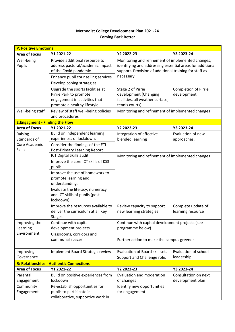## **Methodist College Development Plan 2021-24 Coming Back Better**

|                                                           | <b>P: Positive Emotions</b>                                                                                                                                                                                                               |                                                                                                                                                                                        |                                            |  |  |
|-----------------------------------------------------------|-------------------------------------------------------------------------------------------------------------------------------------------------------------------------------------------------------------------------------------------|----------------------------------------------------------------------------------------------------------------------------------------------------------------------------------------|--------------------------------------------|--|--|
| <b>Area of Focus</b>                                      | Y1 2021-22                                                                                                                                                                                                                                | Y2 2022-23                                                                                                                                                                             | Y3 2023-24                                 |  |  |
| Well-being<br>Pupils                                      | Provide additional resource to<br>address pastoral/academic impact<br>of the Covid pandemic<br>Enhance pupil counselling services<br>Develop coping strategies                                                                            | Monitoring and refinement of implemented changes,<br>identifying and addressing essential areas for additional<br>support. Provision of additional training for staff as<br>necessary. |                                            |  |  |
|                                                           | Upgrade the sports facilities at<br>Pirrie Park to promote<br>engagement in activities that<br>promote a healthy lifestyle                                                                                                                | Stage 2 of Pirrie<br>development (Changing<br>facilities, all weather surface,<br>tennis courts)                                                                                       | <b>Completion of Pirrie</b><br>development |  |  |
| Well-being staff                                          | Review of staff well-being policies<br>and procedures                                                                                                                                                                                     | Monitoring and refinement of implemented changes                                                                                                                                       |                                            |  |  |
| <b>E:Engagment - Finding the Flow</b>                     |                                                                                                                                                                                                                                           |                                                                                                                                                                                        |                                            |  |  |
| <b>Area of Focus</b>                                      | Y1 2021-22                                                                                                                                                                                                                                | Y2 2022-23                                                                                                                                                                             | Y3 2023-24                                 |  |  |
| Raising<br>Standards of<br>Core Academic<br><b>Skills</b> | Build on independent learning<br>experiences of lockdown.<br>Consider the findings of the ETI<br>Post-Primary Learning Report                                                                                                             | Integration of effective<br>blended learning                                                                                                                                           | Evaluation of new<br>approaches.           |  |  |
|                                                           | ICT Digital Skills audit<br>Improve the core ICT skills of KS3<br>pupils.<br>Improve the use of homework to<br>promote learning and<br>understanding.<br>Evaluate the literacy, numeracy<br>and ICT skills of pupils (post-<br>lockdown). | Monitoring and refinement of implemented changes                                                                                                                                       |                                            |  |  |
|                                                           | Improve the resources available to<br>deliver the curriculum at all Key<br><b>Stages</b>                                                                                                                                                  | Review capacity to support<br>new learning strategies                                                                                                                                  | Complete update of<br>learning resource    |  |  |
| Improving the<br>Learning<br>Environment                  | Continue with capital<br>development projects<br>Classrooms, corridors and<br>communal spaces                                                                                                                                             | Continue with capital development projects (see<br>programme below)<br>Further action to make the campus greener                                                                       |                                            |  |  |
| Improving<br>Governance                                   | Implement Board Strategic review                                                                                                                                                                                                          | Evaluation of Board skill set.<br>Support and Challenge role.                                                                                                                          | Evaluation of school<br>leadership         |  |  |
| <b>R: Relationships - Authentic Connections</b>           |                                                                                                                                                                                                                                           |                                                                                                                                                                                        |                                            |  |  |
| <b>Area of Focus</b>                                      | Y1 2021-22                                                                                                                                                                                                                                | Y2 2022-23                                                                                                                                                                             | Y3 2023-24                                 |  |  |
| Parental<br>Engagement                                    | Build on positive experiences from<br>lockdown                                                                                                                                                                                            | Evaluation and moderation<br>of changes                                                                                                                                                | Consultation on next<br>development plan   |  |  |
| Community<br>Engagement                                   | Re-establish opportunities for<br>pupils to participate in<br>collaborative, supportive work in                                                                                                                                           | Identify new opportunities<br>for engagement.                                                                                                                                          |                                            |  |  |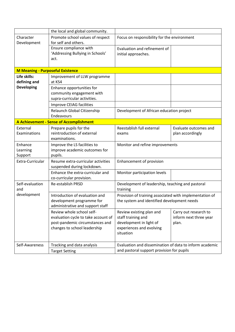|                                         | the local and global community.                                                                                                     |                                                                                                                    |                                                          |
|-----------------------------------------|-------------------------------------------------------------------------------------------------------------------------------------|--------------------------------------------------------------------------------------------------------------------|----------------------------------------------------------|
| Character<br>Development                | Promote school values of respect<br>for self and others.                                                                            | Focus on responsibility for the environment                                                                        |                                                          |
|                                         | Ensure compliance with<br>'Addressing Bullying in Schools'<br>act.                                                                  | Evaluation and refinement of<br>initial approaches.                                                                |                                                          |
| <b>M Meaning - Purposeful Existence</b> |                                                                                                                                     |                                                                                                                    |                                                          |
| Life skills:<br>defining and            | Improvement of LLW programme<br>at KS4                                                                                              |                                                                                                                    |                                                          |
| <b>Developing</b>                       | Enhance opportunities for<br>community engagement with<br>supra-curricular activities.                                              |                                                                                                                    |                                                          |
|                                         | <b>Improve CEIAG facilities</b>                                                                                                     |                                                                                                                    |                                                          |
|                                         | Relaunch Global Citizenship<br>Endeavours                                                                                           | Development of African education project                                                                           |                                                          |
|                                         | A Achievement - Sense of Accomplishment                                                                                             |                                                                                                                    |                                                          |
| External<br>Examinations                | Prepare pupils for the<br>reintroduction of external<br>examinations.                                                               | Reestablish full external<br>exams                                                                                 | Evaluate outcomes and<br>plan accordingly                |
| Enhance<br>Learning<br>Support          | Improve the LS facilities to<br>improve academic outcomes for<br>pupils.                                                            | Monitor and refine improvements                                                                                    |                                                          |
| Extra-Curricular                        | Resume extra-curricular activities<br>suspended during lockdown.                                                                    | Enhancement of provision                                                                                           |                                                          |
|                                         | Enhance the extra-curricular and<br>co-curricular provision.                                                                        | Monitor participation levels                                                                                       |                                                          |
| Self-evaluation<br>and                  | <b>Re-establish PRSD</b>                                                                                                            | Development of leadership, teaching and pastoral<br>training                                                       |                                                          |
| development                             | Introduction of evaluation and<br>development programme for<br>administrative and support staff                                     | Provision of training associated with implementation of<br>the system and identified development needs             |                                                          |
|                                         | Review whole school self-<br>evaluation cycle to take account of<br>post-pandemic circumstances and<br>changes to school leadership | Review existing plan and<br>staff training and<br>development in light of<br>experiences and evolving<br>situation | Carry out research to<br>inform next three year<br>plan. |
| Self-Awareness                          | Tracking and data analysis<br><b>Target Setting</b>                                                                                 | Evaluation and dissemination of data to inform academic<br>and pastoral support provision for pupils               |                                                          |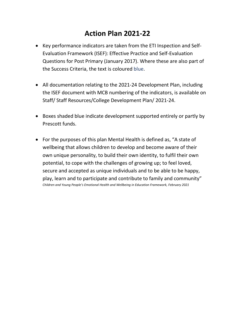# **Action Plan 2021-22**

- Key performance indicators are taken from the ETI Inspection and Self-Evaluation Framework (ISEF): Effective Practice and Self-Evaluation Questions for Post Primary (January 2017). Where these are also part of the Success Criteria, the text is coloured blue.
- All documentation relating to the 2021-24 Development Plan, including the ISEF document with MCB numbering of the indicators, is available on Staff/ Staff Resources/College Development Plan/ 2021-24.
- Boxes shaded blue indicate development supported entirely or partly by Prescott funds.
- For the purposes of this plan Mental Health is defined as, "A state of wellbeing that allows children to develop and become aware of their own unique personality, to build their own identity, to fulfil their own potential, to cope with the challenges of growing up; to feel loved, secure and accepted as unique individuals and to be able to be happy, play, learn and to participate and contribute to family and community" *Children and Young People's Emotional Health and Wellbeing in Education Framework, February 2021*